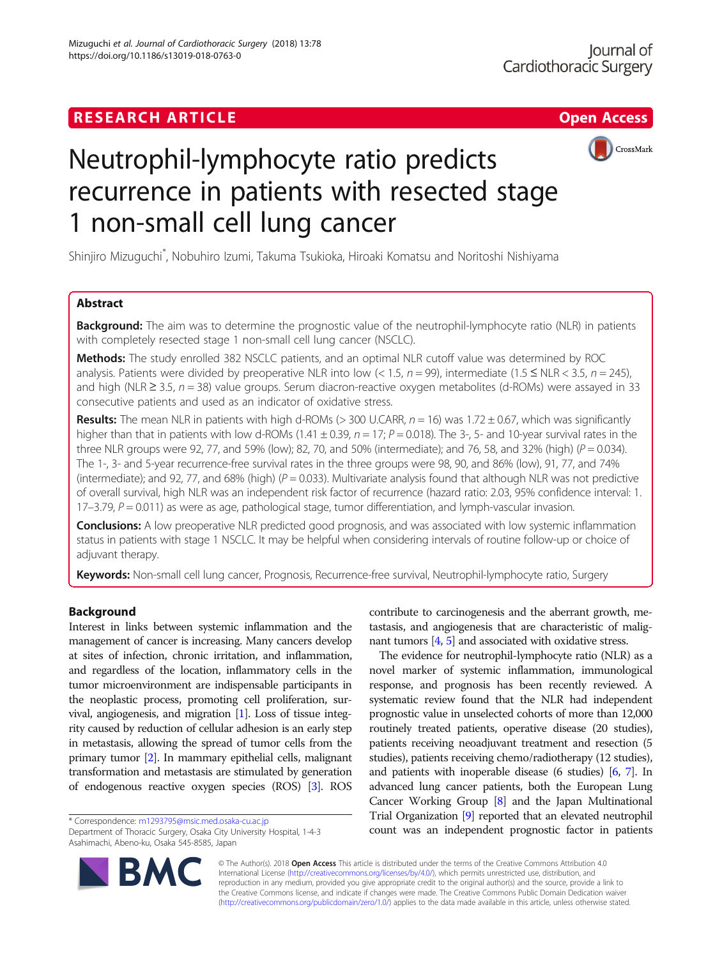# **RESEARCH ARTICLE Example 2018 12:30 The Contract of Contract ACCESS**



# Neutrophil-lymphocyte ratio predicts recurrence in patients with resected stage 1 non-small cell lung cancer

Shinjiro Mizuguchi\* , Nobuhiro Izumi, Takuma Tsukioka, Hiroaki Komatsu and Noritoshi Nishiyama

# Abstract

**Background:** The aim was to determine the prognostic value of the neutrophil-lymphocyte ratio (NLR) in patients with completely resected stage 1 non-small cell lung cancer (NSCLC).

Methods: The study enrolled 382 NSCLC patients, and an optimal NLR cutoff value was determined by ROC analysis. Patients were divided by preoperative NLR into low (< 1.5,  $n = 99$ ), intermediate (1.5  $\leq$  NLR < 3.5,  $n = 245$ ), and high (NLR  $\geq$  3.5, n = 38) value groups. Serum diacron-reactive oxygen metabolites (d-ROMs) were assayed in 33 consecutive patients and used as an indicator of oxidative stress.

**Results:** The mean NLR in patients with high d-ROMs ( $>$  300 U.CARR,  $n = 16$ ) was 1.72  $\pm$  0.67, which was significantly higher than that in patients with low d-ROMs (1.41  $\pm$  0.39,  $n = 17$ ;  $P = 0.018$ ). The 3-, 5- and 10-year survival rates in the three NLR groups were 92, 77, and 59% (low); 82, 70, and 50% (intermediate); and 76, 58, and 32% (high) ( $P = 0.034$ ). The 1-, 3- and 5-year recurrence-free survival rates in the three groups were 98, 90, and 86% (low), 91, 77, and 74% (intermediate); and 92, 77, and 68% (high) ( $P = 0.033$ ). Multivariate analysis found that although NLR was not predictive of overall survival, high NLR was an independent risk factor of recurrence (hazard ratio: 2.03, 95% confidence interval: 1.  $17-3.79$ ,  $P = 0.011$ ) as were as age, pathological stage, tumor differentiation, and lymph-vascular invasion.

**Conclusions:** A low preoperative NLR predicted good prognosis, and was associated with low systemic inflammation status in patients with stage 1 NSCLC. It may be helpful when considering intervals of routine follow-up or choice of adjuvant therapy.

Keywords: Non-small cell lung cancer, Prognosis, Recurrence-free survival, Neutrophil-lymphocyte ratio, Surgery

# Background

Interest in links between systemic inflammation and the management of cancer is increasing. Many cancers develop at sites of infection, chronic irritation, and inflammation, and regardless of the location, inflammatory cells in the tumor microenvironment are indispensable participants in the neoplastic process, promoting cell proliferation, survival, angiogenesis, and migration [\[1\]](#page-6-0). Loss of tissue integrity caused by reduction of cellular adhesion is an early step in metastasis, allowing the spread of tumor cells from the primary tumor [\[2\]](#page-6-0). In mammary epithelial cells, malignant transformation and metastasis are stimulated by generation of endogenous reactive oxygen species (ROS) [\[3\]](#page-6-0). ROS

Department of Thoracic Surgery, Osaka City University Hospital, 1-4-3 Asahimachi, Abeno-ku, Osaka 545-8585, Japan



contribute to carcinogenesis and the aberrant growth, metastasis, and angiogenesis that are characteristic of malignant tumors [[4](#page-6-0), [5\]](#page-6-0) and associated with oxidative stress.

The evidence for neutrophil-lymphocyte ratio (NLR) as a novel marker of systemic inflammation, immunological response, and prognosis has been recently reviewed. A systematic review found that the NLR had independent prognostic value in unselected cohorts of more than 12,000 routinely treated patients, operative disease (20 studies), patients receiving neoadjuvant treatment and resection (5 studies), patients receiving chemo/radiotherapy (12 studies), and patients with inoperable disease (6 studies) [\[6](#page-6-0), [7\]](#page-6-0). In advanced lung cancer patients, both the European Lung Cancer Working Group [\[8\]](#page-6-0) and the Japan Multinational Trial Organization [\[9\]](#page-6-0) reported that an elevated neutrophil \* Correspondence: [m1293795@msic.med.osaka-cu.ac.jp](mailto:m1293795@msic.med.osaka-cu.ac.jp) **and the system of the count was an independent prognostic factor in patients**<br>Department of Thoracic Surgery, Osaka City University Hospital, 1-4-3 **count was an independ** 

> © The Author(s). 2018 Open Access This article is distributed under the terms of the Creative Commons Attribution 4.0 International License [\(http://creativecommons.org/licenses/by/4.0/](http://creativecommons.org/licenses/by/4.0/)), which permits unrestricted use, distribution, and reproduction in any medium, provided you give appropriate credit to the original author(s) and the source, provide a link to the Creative Commons license, and indicate if changes were made. The Creative Commons Public Domain Dedication waiver [\(http://creativecommons.org/publicdomain/zero/1.0/](http://creativecommons.org/publicdomain/zero/1.0/)) applies to the data made available in this article, unless otherwise stated.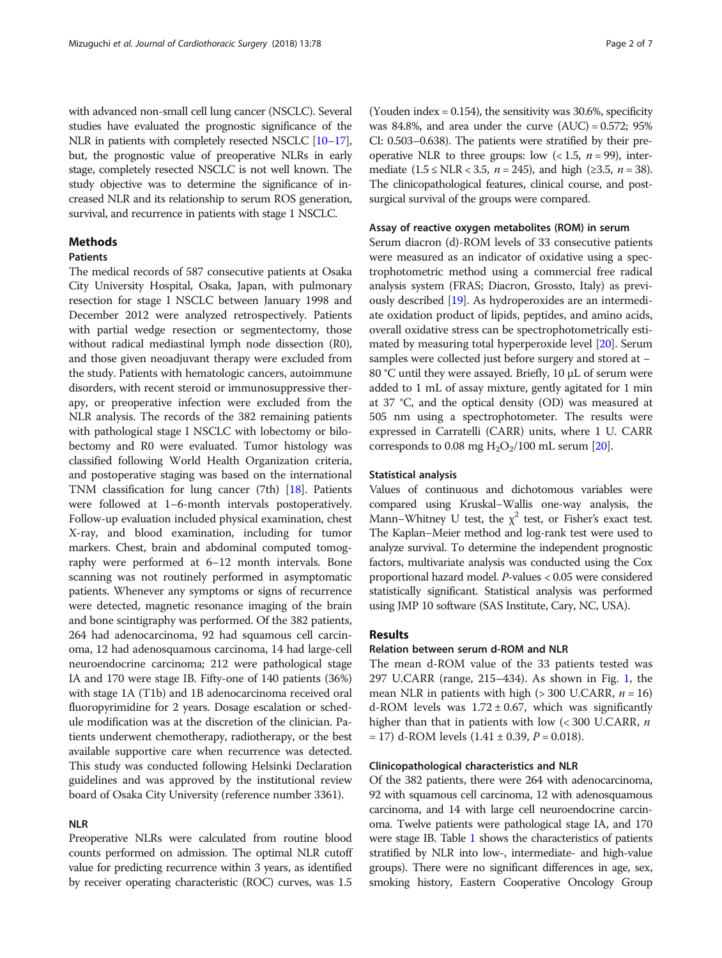with advanced non-small cell lung cancer (NSCLC). Several studies have evaluated the prognostic significance of the NLR in patients with completely resected NSCLC [[10](#page-6-0)–[17](#page-6-0)], but, the prognostic value of preoperative NLRs in early stage, completely resected NSCLC is not well known. The study objective was to determine the significance of increased NLR and its relationship to serum ROS generation, survival, and recurrence in patients with stage 1 NSCLC.

# Methods

# Patients

The medical records of 587 consecutive patients at Osaka City University Hospital, Osaka, Japan, with pulmonary resection for stage I NSCLC between January 1998 and December 2012 were analyzed retrospectively. Patients with partial wedge resection or segmentectomy, those without radical mediastinal lymph node dissection (R0), and those given neoadjuvant therapy were excluded from the study. Patients with hematologic cancers, autoimmune disorders, with recent steroid or immunosuppressive therapy, or preoperative infection were excluded from the NLR analysis. The records of the 382 remaining patients with pathological stage I NSCLC with lobectomy or bilobectomy and R0 were evaluated. Tumor histology was classified following World Health Organization criteria, and postoperative staging was based on the international TNM classification for lung cancer (7th) [[18](#page-6-0)]. Patients were followed at 1–6-month intervals postoperatively. Follow-up evaluation included physical examination, chest X-ray, and blood examination, including for tumor markers. Chest, brain and abdominal computed tomography were performed at 6–12 month intervals. Bone scanning was not routinely performed in asymptomatic patients. Whenever any symptoms or signs of recurrence were detected, magnetic resonance imaging of the brain and bone scintigraphy was performed. Of the 382 patients, 264 had adenocarcinoma, 92 had squamous cell carcinoma, 12 had adenosquamous carcinoma, 14 had large-cell neuroendocrine carcinoma; 212 were pathological stage IA and 170 were stage IB. Fifty-one of 140 patients (36%) with stage 1A (T1b) and 1B adenocarcinoma received oral fluoropyrimidine for 2 years. Dosage escalation or schedule modification was at the discretion of the clinician. Patients underwent chemotherapy, radiotherapy, or the best available supportive care when recurrence was detected. This study was conducted following Helsinki Declaration guidelines and was approved by the institutional review board of Osaka City University (reference number 3361).

# NLR

Preoperative NLRs were calculated from routine blood counts performed on admission. The optimal NLR cutoff value for predicting recurrence within 3 years, as identified by receiver operating characteristic (ROC) curves, was 1.5

(Youden index = 0.154), the sensitivity was 30.6%, specificity was 84.8%, and area under the curve  $(AUC) = 0.572$ ; 95% CI: 0.503–0.638). The patients were stratified by their preoperative NLR to three groups: low  $(< 1.5, n = 99)$ , intermediate (1.5 ≤ NLR < 3.5, *n* = 245), and high (≥3.5, *n* = 38). The clinicopathological features, clinical course, and postsurgical survival of the groups were compared.

#### Assay of reactive oxygen metabolites (ROM) in serum

Serum diacron (d)-ROM levels of 33 consecutive patients were measured as an indicator of oxidative using a spectrophotometric method using a commercial free radical analysis system (FRAS; Diacron, Grossto, Italy) as previously described [\[19](#page-6-0)]. As hydroperoxides are an intermediate oxidation product of lipids, peptides, and amino acids, overall oxidative stress can be spectrophotometrically estimated by measuring total hyperperoxide level [[20](#page-6-0)]. Serum samples were collected just before surgery and stored at − 80 °C until they were assayed. Briefly, 10 μL of serum were added to 1 mL of assay mixture, gently agitated for 1 min at 37 °C, and the optical density (OD) was measured at 505 nm using a spectrophotometer. The results were expressed in Carratelli (CARR) units, where 1 U. CARR corresponds to 0.08 mg  $H_2O_2/100$  mL serum [\[20\]](#page-6-0).

### Statistical analysis

Values of continuous and dichotomous variables were compared using Kruskal−Wallis one-way analysis, the Mann–Whitney U test, the  $\chi^2$  test, or Fisher's exact test. The Kaplan−Meier method and log-rank test were used to analyze survival. To determine the independent prognostic factors, multivariate analysis was conducted using the Cox proportional hazard model. P-values < 0.05 were considered statistically significant. Statistical analysis was performed using JMP 10 software (SAS Institute, Cary, NC, USA).

## Results

# Relation between serum d-ROM and NLR

The mean d-ROM value of the 33 patients tested was 297 U.CARR (range, 215–434). As shown in Fig. [1,](#page-2-0) the mean NLR in patients with high ( $>$  300 U.CARR,  $n = 16$ ) d-ROM levels was  $1.72 \pm 0.67$ , which was significantly higher than that in patients with low  $(< 300$  U.CARR,  $n$  $= 17$ ) d-ROM levels  $(1.41 \pm 0.39, P = 0.018)$ .

#### Clinicopathological characteristics and NLR

Of the 382 patients, there were 264 with adenocarcinoma, 92 with squamous cell carcinoma, 12 with adenosquamous carcinoma, and 14 with large cell neuroendocrine carcinoma. Twelve patients were pathological stage IA, and 170 were stage IB. Table [1](#page-2-0) shows the characteristics of patients stratified by NLR into low-, intermediate- and high-value groups). There were no significant differences in age, sex, smoking history, Eastern Cooperative Oncology Group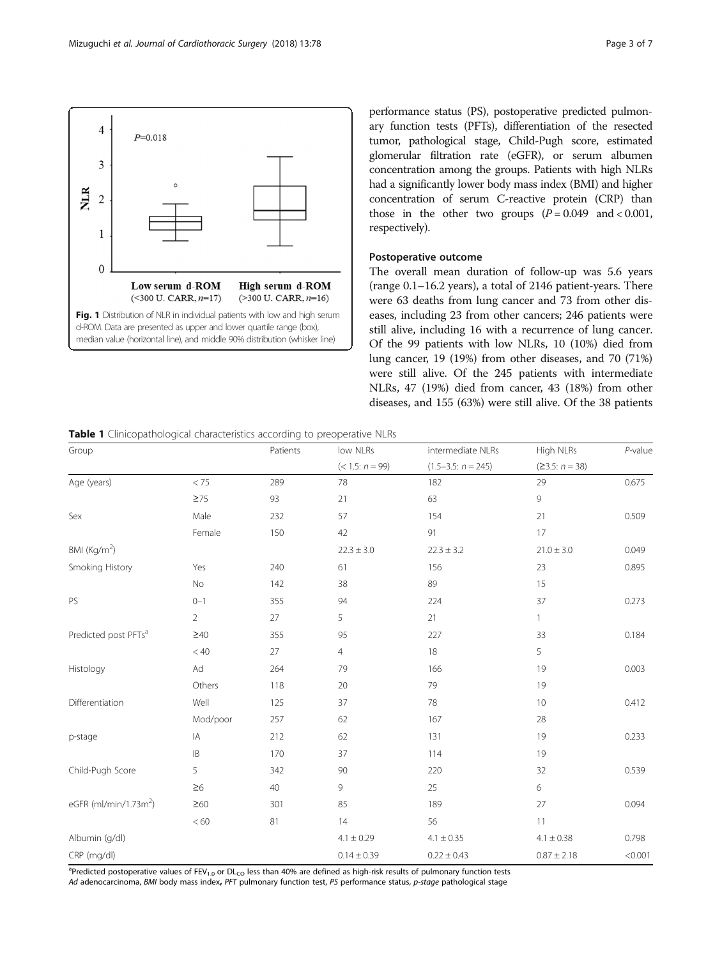<span id="page-2-0"></span>

performance status (PS), postoperative predicted pulmonary function tests (PFTs), differentiation of the resected tumor, pathological stage, Child-Pugh score, estimated glomerular filtration rate (eGFR), or serum albumen concentration among the groups. Patients with high NLRs had a significantly lower body mass index (BMI) and higher concentration of serum C-reactive protein (CRP) than those in the other two groups  $(P = 0.049$  and  $< 0.001$ , respectively).

# Postoperative outcome

The overall mean duration of follow-up was 5.6 years (range 0.1–16.2 years), a total of 2146 patient-years. There were 63 deaths from lung cancer and 73 from other diseases, including 23 from other cancers; 246 patients were still alive, including 16 with a recurrence of lung cancer. Of the 99 patients with low NLRs, 10 (10%) died from lung cancer, 19 (19%) from other diseases, and 70 (71%) were still alive. Of the 245 patients with intermediate NLRs, 47 (19%) died from cancer, 43 (18%) from other diseases, and 155 (63%) were still alive. Of the 38 patients

Table 1 Clinicopathological characteristics according to preoperative NLRs

| Group                             |                | Patients | low NLRs<br>$(< 1.5: n = 99)$ | intermediate NLRs    | High NLRs<br>$(23.5: n = 38)$ | $P$ -value |
|-----------------------------------|----------------|----------|-------------------------------|----------------------|-------------------------------|------------|
|                                   |                |          |                               | $(1.5-3.5: n = 245)$ |                               |            |
| Age (years)                       | < 75           | 289      | 78                            | 182                  | 29                            | 0.675      |
|                                   | $\geq 75$      | 93       | 21                            | 63                   | 9                             |            |
| Sex                               | Male           | 232      | 57                            | 154                  | 21                            | 0.509      |
|                                   | Female         | 150      | 42                            | 91                   | 17                            |            |
| BMI (Kg/m <sup>2</sup> )          |                |          | $22.3 \pm 3.0$                | $22.3 \pm 3.2$       | $21.0 \pm 3.0$                | 0.049      |
| Smoking History                   | Yes            | 240      | 61                            | 156                  | 23                            | 0.895      |
|                                   | No             | 142      | 38                            | 89                   | 15                            |            |
| PS                                | $0 - 1$        | 355      | 94                            | 224                  | 37                            | 0.273      |
|                                   | $\overline{2}$ | 27       | 5                             | 21                   | 1                             |            |
| Predicted post PFTs <sup>a</sup>  | $\geq 40$      | 355      | 95                            | 227                  | 33                            | 0.184      |
|                                   | < 40           | 27       | $\overline{4}$                | 18                   | 5                             |            |
| Histology                         | Ad             | 264      | 79                            | 166                  | 19                            | 0.003      |
|                                   | Others         | 118      | 20                            | 79                   | 19                            |            |
| Differentiation                   | Well           | 125      | 37                            | 78                   | 10                            | 0.412      |
|                                   | Mod/poor       | 257      | 62                            | 167                  | 28                            |            |
| p-stage                           | IA             | 212      | 62                            | 131                  | 19                            | 0.233      |
|                                   | $\mathsf{IB}$  | 170      | 37                            | 114                  | 19                            |            |
| Child-Pugh Score                  | 5              | 342      | 90                            | 220                  | 32                            | 0.539      |
|                                   | $\geq 6$       | 40       | 9                             | 25                   | 6                             |            |
| eGFR (ml/min/1.73m <sup>2</sup> ) | $\geq 60$      | 301      | 85                            | 189                  | 27                            | 0.094      |
|                                   | < 60           | 81       | 14                            | 56                   | 11                            |            |
| Albumin (g/dl)                    |                |          | $4.1 \pm 0.29$                | $4.1 \pm 0.35$       | $4.1 \pm 0.38$                | 0.798      |
| CRP (mg/dl)                       |                |          | $0.14 \pm 0.39$               | $0.22 \pm 0.43$      | $0.87 \pm 2.18$               | < 0.001    |

<sup>a</sup>Predicted postoperative values of FEV<sub>1.0</sub> or DL<sub>CO</sub> less than 40% are defined as high-risk results of pulmonary function tests Ad adenocarcinoma, BMI body mass index, PFT pulmonary function test, PS performance status, p-stage pathological stage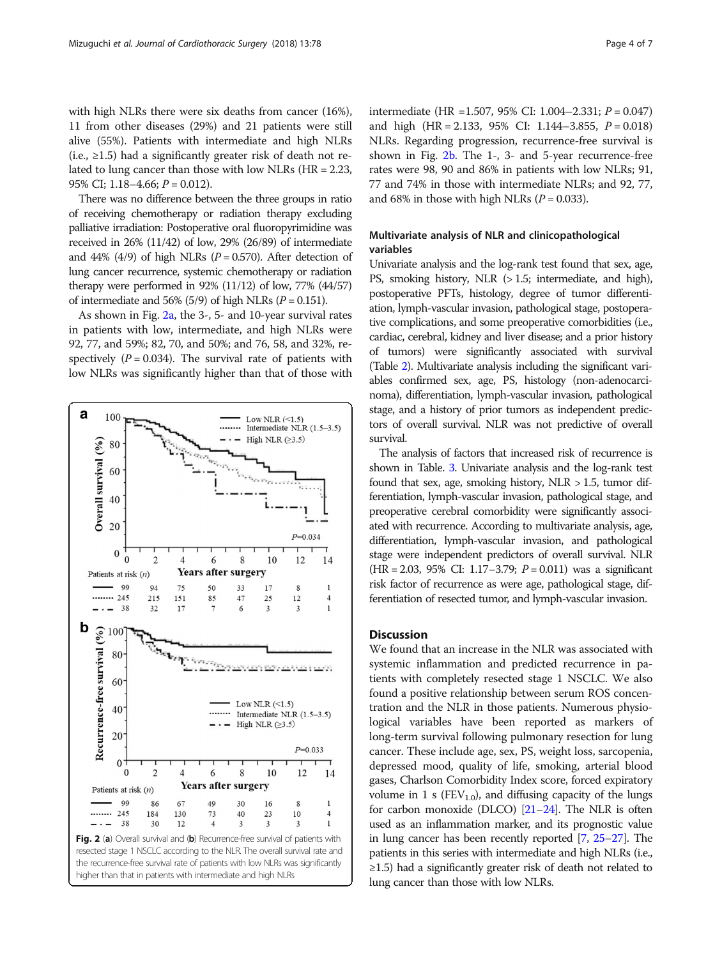with high NLRs there were six deaths from cancer (16%), 11 from other diseases (29%) and 21 patients were still alive (55%). Patients with intermediate and high NLRs (i.e.,  $\geq$ 1.5) had a significantly greater risk of death not related to lung cancer than those with low NLRs (HR = 2.23, 95% CI; 1.18–4.66;  $P = 0.012$ ).

There was no difference between the three groups in ratio of receiving chemotherapy or radiation therapy excluding palliative irradiation: Postoperative oral fluoropyrimidine was received in 26% (11/42) of low, 29% (26/89) of intermediate and 44% (4/9) of high NLRs ( $P = 0.570$ ). After detection of lung cancer recurrence, systemic chemotherapy or radiation therapy were performed in  $92\%$  (11/12) of low, 77% (44/57) of intermediate and 56% (5/9) of high NLRs ( $P = 0.151$ ).

As shown in Fig. 2a, the 3-, 5- and 10-year survival rates in patients with low, intermediate, and high NLRs were 92, 77, and 59%; 82, 70, and 50%; and 76, 58, and 32%, respectively  $(P = 0.034)$ . The survival rate of patients with low NLRs was significantly higher than that of those with



intermediate (HR =1.507, 95% CI: 1.004–2.331;  $P = 0.047$ ) and high  $(HR = 2.133, 95\% \text{ CI: } 1.144 - 3.855, P = 0.018)$ NLRs. Regarding progression, recurrence-free survival is shown in Fig.  $2b$ . The 1-, 3- and 5-year recurrence-free rates were 98, 90 and 86% in patients with low NLRs; 91, 77 and 74% in those with intermediate NLRs; and 92, 77, and 68% in those with high NLRs ( $P = 0.033$ ).

# Multivariate analysis of NLR and clinicopathological variables

Univariate analysis and the log-rank test found that sex, age, PS, smoking history, NLR (> 1.5; intermediate, and high), postoperative PFTs, histology, degree of tumor differentiation, lymph-vascular invasion, pathological stage, postoperative complications, and some preoperative comorbidities (i.e., cardiac, cerebral, kidney and liver disease; and a prior history of tumors) were significantly associated with survival (Table [2](#page-4-0)). Multivariate analysis including the significant variables confirmed sex, age, PS, histology (non-adenocarcinoma), differentiation, lymph-vascular invasion, pathological stage, and a history of prior tumors as independent predictors of overall survival. NLR was not predictive of overall survival.

The analysis of factors that increased risk of recurrence is shown in Table. [3](#page-5-0). Univariate analysis and the log-rank test found that sex, age, smoking history,  $NLR > 1.5$ , tumor differentiation, lymph-vascular invasion, pathological stage, and preoperative cerebral comorbidity were significantly associated with recurrence. According to multivariate analysis, age, differentiation, lymph-vascular invasion, and pathological stage were independent predictors of overall survival. NLR  $(HR = 2.03, 95\% \text{ CI: } 1.17 - 3.79; P = 0.011)$  was a significant risk factor of recurrence as were age, pathological stage, differentiation of resected tumor, and lymph-vascular invasion.

# **Discussion**

We found that an increase in the NLR was associated with systemic inflammation and predicted recurrence in patients with completely resected stage 1 NSCLC. We also found a positive relationship between serum ROS concentration and the NLR in those patients. Numerous physiological variables have been reported as markers of long-term survival following pulmonary resection for lung cancer. These include age, sex, PS, weight loss, sarcopenia, depressed mood, quality of life, smoking, arterial blood gases, Charlson Comorbidity Index score, forced expiratory volume in 1 s ( $FEV_{1,0}$ ), and diffusing capacity of the lungs for carbon monoxide (DLCO) [\[21](#page-6-0)–[24\]](#page-6-0). The NLR is often used as an inflammation marker, and its prognostic value in lung cancer has been recently reported [\[7](#page-6-0), [25](#page-6-0)–[27](#page-6-0)]. The patients in this series with intermediate and high NLRs (i.e., ≥1.5) had a significantly greater risk of death not related to lung cancer than those with low NLRs.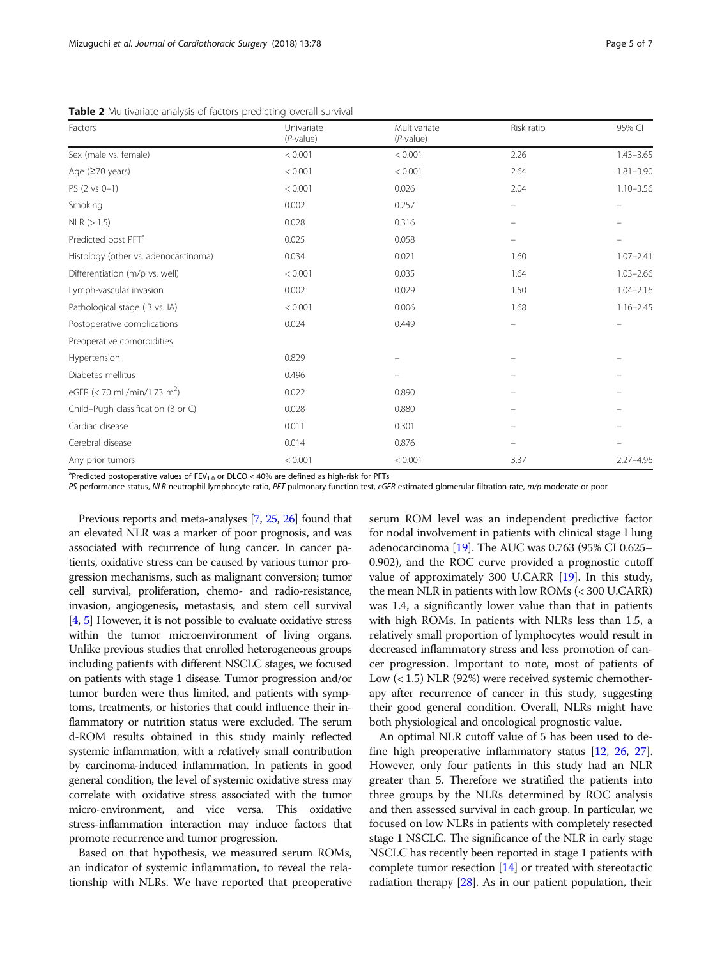<span id="page-4-0"></span>Table 2 Multivariate analysis of factors predicting overall survival

| Factors                                 | Univariate<br>$(P$ -value) | Multivariate<br>$(P$ -value) | Risk ratio | 95% CI        |
|-----------------------------------------|----------------------------|------------------------------|------------|---------------|
| Sex (male vs. female)                   | < 0.001                    | < 0.001                      | 2.26       | $1.43 - 3.65$ |
| Age $(≥70 \text{ years})$               | < 0.001                    | < 0.001                      | 2.64       | $1.81 - 3.90$ |
| PS (2 vs 0-1)                           | < 0.001                    | 0.026                        | 2.04       | $1.10 - 3.56$ |
| Smoking                                 | 0.002                      | 0.257                        |            |               |
| NLR (> 1.5)                             | 0.028                      | 0.316                        |            |               |
| Predicted post PFT <sup>a</sup>         | 0.025                      | 0.058                        |            |               |
| Histology (other vs. adenocarcinoma)    | 0.034                      | 0.021                        | 1.60       | $1.07 - 2.41$ |
| Differentiation (m/p vs. well)          | < 0.001                    | 0.035                        | 1.64       | $1.03 - 2.66$ |
| Lymph-vascular invasion                 | 0.002                      | 0.029                        | 1.50       | $1.04 - 2.16$ |
| Pathological stage (IB vs. IA)          | < 0.001                    | 0.006                        | 1.68       | $1.16 - 2.45$ |
| Postoperative complications             | 0.024                      | 0.449                        |            |               |
| Preoperative comorbidities              |                            |                              |            |               |
| Hypertension                            | 0.829                      |                              |            |               |
| Diabetes mellitus                       | 0.496                      |                              |            |               |
| eGFR (< 70 mL/min/1.73 m <sup>2</sup> ) | 0.022                      | 0.890                        |            |               |
| Child-Pugh classification (B or C)      | 0.028                      | 0.880                        |            |               |
| Cardiac disease                         | 0.011                      | 0.301                        |            |               |
| Cerebral disease                        | 0.014                      | 0.876                        |            |               |
| Any prior tumors                        | < 0.001                    | < 0.001                      | 3.37       | $2.27 - 4.96$ |

<sup>a</sup>Predicted postoperative values of  $\text{FEV}_{1.0}$  or DLCO < 40% are defined as high-risk for PFTs

PS performance status, NLR neutrophil-lymphocyte ratio, PFT pulmonary function test, eGFR estimated glomerular filtration rate, m/p moderate or poor

Previous reports and meta-analyses [[7](#page-6-0), [25,](#page-6-0) [26](#page-6-0)] found that an elevated NLR was a marker of poor prognosis, and was associated with recurrence of lung cancer. In cancer patients, oxidative stress can be caused by various tumor progression mechanisms, such as malignant conversion; tumor cell survival, proliferation, chemo- and radio-resistance, invasion, angiogenesis, metastasis, and stem cell survival [[4](#page-6-0), [5\]](#page-6-0) However, it is not possible to evaluate oxidative stress within the tumor microenvironment of living organs. Unlike previous studies that enrolled heterogeneous groups including patients with different NSCLC stages, we focused on patients with stage 1 disease. Tumor progression and/or tumor burden were thus limited, and patients with symptoms, treatments, or histories that could influence their inflammatory or nutrition status were excluded. The serum d-ROM results obtained in this study mainly reflected systemic inflammation, with a relatively small contribution by carcinoma-induced inflammation. In patients in good general condition, the level of systemic oxidative stress may correlate with oxidative stress associated with the tumor micro-environment, and vice versa. This oxidative stress-inflammation interaction may induce factors that promote recurrence and tumor progression.

Based on that hypothesis, we measured serum ROMs, an indicator of systemic inflammation, to reveal the relationship with NLRs. We have reported that preoperative

serum ROM level was an independent predictive factor for nodal involvement in patients with clinical stage I lung adenocarcinoma [\[19\]](#page-6-0). The AUC was 0.763 (95% CI 0.625– 0.902), and the ROC curve provided a prognostic cutoff value of approximately 300 U.CARR [\[19\]](#page-6-0). In this study, the mean NLR in patients with low ROMs (< 300 U.CARR) was 1.4, a significantly lower value than that in patients with high ROMs. In patients with NLRs less than 1.5, a relatively small proportion of lymphocytes would result in decreased inflammatory stress and less promotion of cancer progression. Important to note, most of patients of Low (< 1.5) NLR (92%) were received systemic chemotherapy after recurrence of cancer in this study, suggesting their good general condition. Overall, NLRs might have both physiological and oncological prognostic value.

An optimal NLR cutoff value of 5 has been used to define high preoperative inflammatory status [[12](#page-6-0), [26,](#page-6-0) [27](#page-6-0)]. However, only four patients in this study had an NLR greater than 5. Therefore we stratified the patients into three groups by the NLRs determined by ROC analysis and then assessed survival in each group. In particular, we focused on low NLRs in patients with completely resected stage 1 NSCLC. The significance of the NLR in early stage NSCLC has recently been reported in stage 1 patients with complete tumor resection  $[14]$  $[14]$  $[14]$  or treated with stereotactic radiation therapy [\[28\]](#page-6-0). As in our patient population, their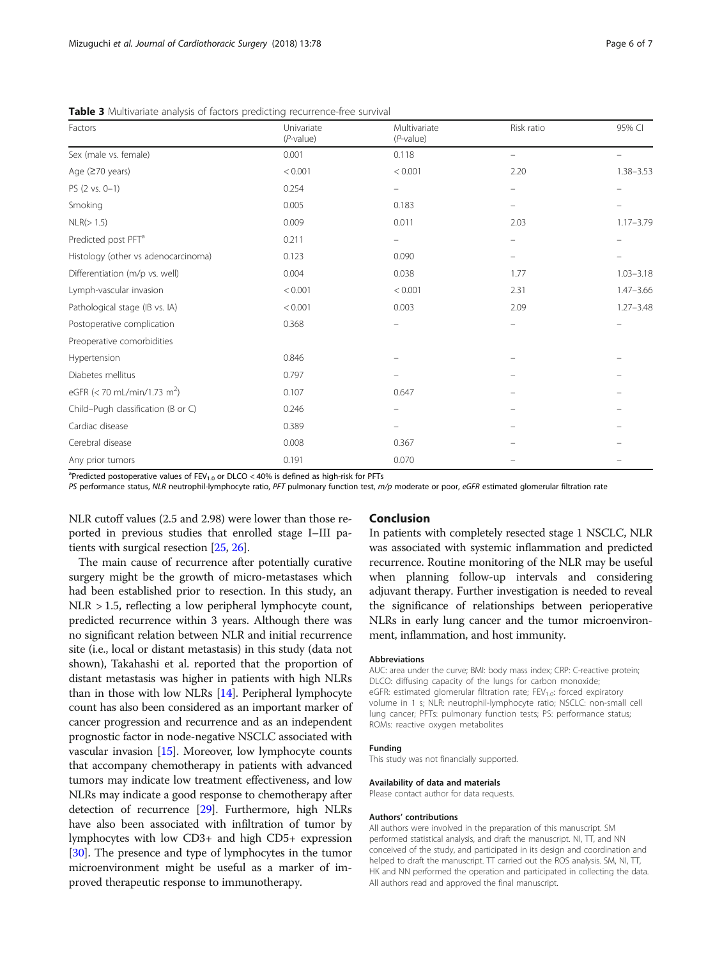| Factors                                 | Univariate<br>$(P-value)$ | Multivariate<br>$(P$ -value) | Risk ratio                     | 95% CI                   |
|-----------------------------------------|---------------------------|------------------------------|--------------------------------|--------------------------|
| Sex (male vs. female)                   | 0.001                     | 0.118                        |                                |                          |
| Age (≥70 years)                         | < 0.001                   | < 0.001                      | 2.20                           | $1.38 - 3.53$            |
| $PS (2 vs. 0-1)$                        | 0.254                     | -                            | $\qquad \qquad \longleftarrow$ | $\overline{\phantom{m}}$ |
| Smoking                                 | 0.005                     | 0.183                        |                                |                          |
| NLR(>1.5)                               | 0.009                     | 0.011                        | 2.03                           | $1.17 - 3.79$            |
| Predicted post PFT <sup>a</sup>         | 0.211                     |                              |                                |                          |
| Histology (other vs adenocarcinoma)     | 0.123                     | 0.090                        |                                |                          |
| Differentiation (m/p vs. well)          | 0.004                     | 0.038                        | 1.77                           | $1.03 - 3.18$            |
| Lymph-vascular invasion                 | < 0.001                   | < 0.001                      | 2.31                           | $1.47 - 3.66$            |
| Pathological stage (IB vs. IA)          | < 0.001                   | 0.003                        | 2.09                           | $1.27 - 3.48$            |
| Postoperative complication              | 0.368                     |                              |                                |                          |
| Preoperative comorbidities              |                           |                              |                                |                          |
| Hypertension                            | 0.846                     |                              |                                |                          |
| Diabetes mellitus                       | 0.797                     |                              |                                |                          |
| eGFR (< 70 mL/min/1.73 m <sup>2</sup> ) | 0.107                     | 0.647                        |                                |                          |
| Child-Pugh classification (B or C)      | 0.246                     |                              |                                |                          |
| Cardiac disease                         | 0.389                     |                              |                                |                          |
| Cerebral disease                        | 0.008                     | 0.367                        |                                |                          |
| Any prior tumors                        | 0.191                     | 0.070                        |                                |                          |

<span id="page-5-0"></span>Table 3 Multivariate analysis of factors predicting recurrence-free survival

<sup>a</sup>Predicted postoperative values of  $FEV_{1,0}$  or DLCO < 40% is defined as high-risk for PFTs

PS performance status, NLR neutrophil-lymphocyte ratio, PFT pulmonary function test, m/p moderate or poor, eGFR estimated glomerular filtration rate

NLR cutoff values (2.5 and 2.98) were lower than those reported in previous studies that enrolled stage I–III patients with surgical resection [[25](#page-6-0), [26\]](#page-6-0).

The main cause of recurrence after potentially curative surgery might be the growth of micro-metastases which had been established prior to resection. In this study, an NLR > 1.5, reflecting a low peripheral lymphocyte count, predicted recurrence within 3 years. Although there was no significant relation between NLR and initial recurrence site (i.e., local or distant metastasis) in this study (data not shown), Takahashi et al. reported that the proportion of distant metastasis was higher in patients with high NLRs than in those with low NLRs [[14](#page-6-0)]. Peripheral lymphocyte count has also been considered as an important marker of cancer progression and recurrence and as an independent prognostic factor in node-negative NSCLC associated with vascular invasion [[15](#page-6-0)]. Moreover, low lymphocyte counts that accompany chemotherapy in patients with advanced tumors may indicate low treatment effectiveness, and low NLRs may indicate a good response to chemotherapy after detection of recurrence [\[29\]](#page-6-0). Furthermore, high NLRs have also been associated with infiltration of tumor by lymphocytes with low CD3+ and high CD5+ expression [[30](#page-6-0)]. The presence and type of lymphocytes in the tumor microenvironment might be useful as a marker of improved therapeutic response to immunotherapy.

# Conclusion

In patients with completely resected stage 1 NSCLC, NLR was associated with systemic inflammation and predicted recurrence. Routine monitoring of the NLR may be useful when planning follow-up intervals and considering adjuvant therapy. Further investigation is needed to reveal the significance of relationships between perioperative NLRs in early lung cancer and the tumor microenvironment, inflammation, and host immunity.

#### **Abbreviations**

AUC: area under the curve; BMI: body mass index; CRP: C-reactive protein; DLCO: diffusing capacity of the lungs for carbon monoxide; eGFR: estimated glomerular filtration rate;  $FEV<sub>1.0</sub>$ : forced expiratory volume in 1 s; NLR: neutrophil-lymphocyte ratio; NSCLC: non-small cell lung cancer; PFTs: pulmonary function tests; PS: performance status; ROMs: reactive oxygen metabolites

#### Funding

This study was not financially supported.

#### Availability of data and materials

Please contact author for data requests.

#### Authors' contributions

All authors were involved in the preparation of this manuscript. SM performed statistical analysis, and draft the manuscript. NI, TT, and NN conceived of the study, and participated in its design and coordination and helped to draft the manuscript. TT carried out the ROS analysis. SM, NI, TT, HK and NN performed the operation and participated in collecting the data. All authors read and approved the final manuscript.